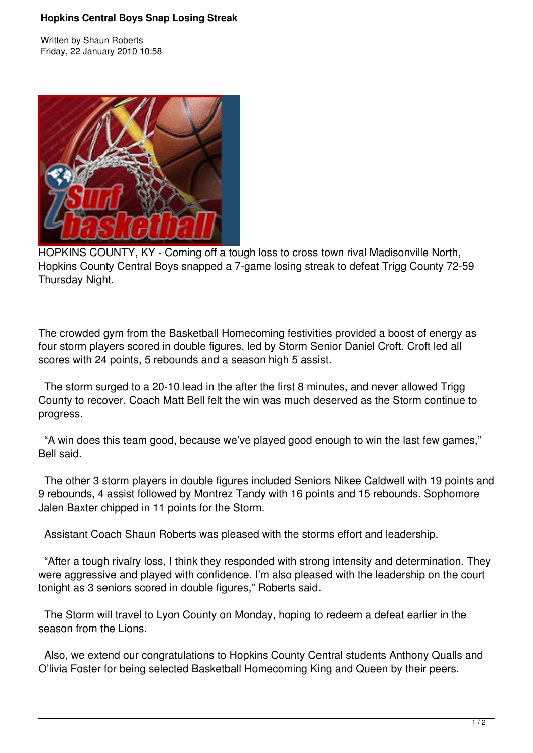## **Hopkins Central Boys Snap Losing Streak**

Written by Shaun Roberts Friday, 22 January 2010 10:58



HOPKINS COUNTY, KY - Coming off a tough loss to cross town rival Madisonville North, Hopkins County Central Boys snapped a 7-game losing streak to defeat Trigg County 72-59 Thursday Night.

The crowded gym from the Basketball Homecoming festivities provided a boost of energy as four storm players scored in double figures, led by Storm Senior Daniel Croft. Croft led all scores with 24 points, 5 rebounds and a season high 5 assist.

 The storm surged to a 20-10 lead in the after the first 8 minutes, and never allowed Trigg County to recover. Coach Matt Bell felt the win was much deserved as the Storm continue to progress.

 "A win does this team good, because we've played good enough to win the last few games," Bell said.

 The other 3 storm players in double figures included Seniors Nikee Caldwell with 19 points and 9 rebounds, 4 assist followed by Montrez Tandy with 16 points and 15 rebounds. Sophomore Jalen Baxter chipped in 11 points for the Storm.

Assistant Coach Shaun Roberts was pleased with the storms effort and leadership.

 "After a tough rivalry loss, I think they responded with strong intensity and determination. They were aggressive and played with confidence. I'm also pleased with the leadership on the court tonight as 3 seniors scored in double figures," Roberts said.

 The Storm will travel to Lyon County on Monday, hoping to redeem a defeat earlier in the season from the Lions.

 Also, we extend our congratulations to Hopkins County Central students Anthony Qualls and O'livia Foster for being selected Basketball Homecoming King and Queen by their peers.